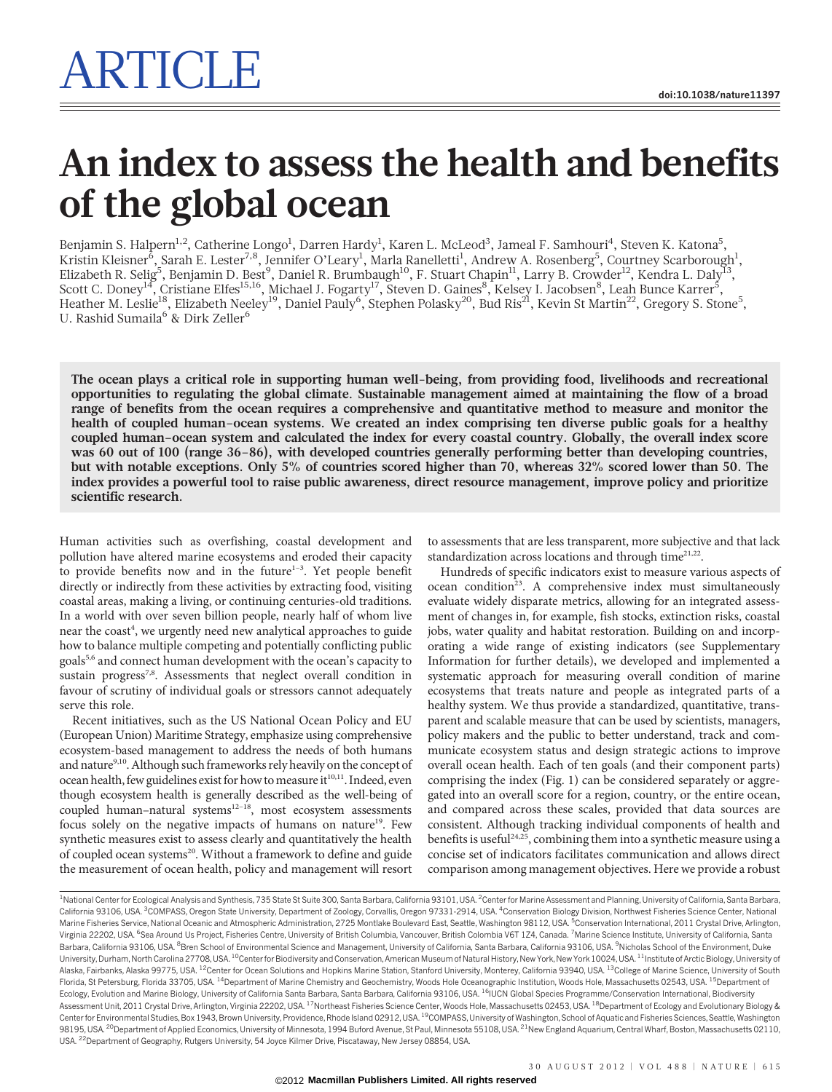# An index to assess the health and benefits of the global ocean

Benjamin S. Halpern<sup>1,2</sup>, Catherine Longo<sup>1</sup>, Darren Hardy<sup>1</sup>, Karen L. McLeod<sup>3</sup>, Jameal F. Samhouri<sup>4</sup>, Steven K. Katona<sup>5</sup>, Kristin Kleisner<sup>5</sup>, Sarah E. Lester<sup>7,8</sup>, Jennifer O'Leary<sup>1</sup>, Marla Ranelletti<sup>1</sup>, Andrew A. Rosenberg<sup>5</sup>, Courtney Scarborough<sup>1</sup>, Elizabeth R. Selig<sup>5</sup>, Benjamin D. Best<sup>9</sup>, Daniel R. Brumbaugh<sup>10</sup>, F. Stuart Chapin<sup>11</sup>, Larry B. Crowder<sup>12</sup>, Kendra L. Daly<sup>13</sup>, Scott C. Doney<sup>14</sup>, Cristiane Elfes<sup>15,16</sup>, Michael J. Fogarty<sup>17</sup>, Steven D. Gaines<sup>8</sup>, Kelsey I. Jacobsen<sup>8</sup>, Leah Bunce Karrer<sup>5</sup>, Heather M. Leslie<sup>18</sup>, Elizabeth Neeley<sup>19</sup>, Daniel Pauly<sup>6</sup>, Stephen Polasky<sup>20</sup>, Bud Ris<sup>21</sup>, Kevin St Martin<sup>22</sup>, Gregory S. Stone<sup>5</sup>, U. Rashid Sumaila $^6$  & Dirk Zeller $^6$ 

The ocean plays a critical role in supporting human well-being, from providing food, livelihoods and recreational opportunities to regulating the global climate. Sustainable management aimed at maintaining the flow of a broad range of benefits from the ocean requires a comprehensive and quantitative method to measure and monitor the health of coupled human–ocean systems. We created an index comprising ten diverse public goals for a healthy coupled human–ocean system and calculated the index for every coastal country. Globally, the overall index score was 60 out of 100 (range 36–86), with developed countries generally performing better than developing countries, but with notable exceptions. Only 5% of countries scored higher than 70, whereas 32% scored lower than 50. The index provides a powerful tool to raise public awareness, direct resource management, improve policy and prioritize scientific research.

Human activities such as overfishing, coastal development and pollution have altered marine ecosystems and eroded their capacity to provide benefits now and in the future $1-3$ . Yet people benefit directly or indirectly from these activities by extracting food, visiting coastal areas, making a living, or continuing centuries-old traditions. In a world with over seven billion people, nearly half of whom live near the coast<sup>4</sup>, we urgently need new analytical approaches to guide how to balance multiple competing and potentially conflicting public goals5,6 and connect human development with the ocean's capacity to sustain progress<sup>7,8</sup>. Assessments that neglect overall condition in favour of scrutiny of individual goals or stressors cannot adequately serve this role.

Recent initiatives, such as the US National Ocean Policy and EU (European Union) Maritime Strategy, emphasize using comprehensive ecosystem-based management to address the needs of both humans and nature<sup>9,10</sup>. Although such frameworks rely heavily on the concept of ocean health, few guidelines exist for how to measure it<sup>10,11</sup>. Indeed, even though ecosystem health is generally described as the well-being of coupled human-natural systems<sup>12-18</sup>, most ecosystem assessments focus solely on the negative impacts of humans on nature<sup>19</sup>. Few synthetic measures exist to assess clearly and quantitatively the health of coupled ocean systems<sup>20</sup>. Without a framework to define and guide the measurement of ocean health, policy and management will resort

to assessments that are less transparent, more subjective and that lack standardization across locations and through time $2^{1,22}$ .

Hundreds of specific indicators exist to measure various aspects of ocean condition<sup>23</sup>. A comprehensive index must simultaneously evaluate widely disparate metrics, allowing for an integrated assessment of changes in, for example, fish stocks, extinction risks, coastal jobs, water quality and habitat restoration. Building on and incorporating a wide range of existing indicators (see Supplementary Information for further details), we developed and implemented a systematic approach for measuring overall condition of marine ecosystems that treats nature and people as integrated parts of a healthy system. We thus provide a standardized, quantitative, transparent and scalable measure that can be used by scientists, managers, policy makers and the public to better understand, track and communicate ecosystem status and design strategic actions to improve overall ocean health. Each of ten goals (and their component parts) comprising the index (Fig. 1) can be considered separately or aggregated into an overall score for a region, country, or the entire ocean, and compared across these scales, provided that data sources are consistent. Although tracking individual components of health and benefits is useful<sup>24,25</sup>, combining them into a synthetic measure using a concise set of indicators facilitates communication and allows direct comparison among management objectives. Here we provide a robust

<sup>1</sup>National Center for Ecological Analysis and Synthesis, 735 State St Suite 300, Santa Barbara, California 93101, USA. <sup>2</sup>Center for Marine Assessment and Planning, University of California, Santa Barbara, California 93106, USA. <sup>3</sup>COMPASS, Oregon State University, Department of Zoology, Corvallis, Oregon 97331-2914, USA. <sup>4</sup>Conservation Biology Division, Northwest Fisheries Science Center, National Marine Fisheries Service, National Oceanic and Atmospheric Administration, 2725 Montlake Boulevard East, Seattle, Washington 98112, USA. <sup>5</sup>Conservation International, 2011 Crystal Drive, Arlington, Virginia 22202, USA. <sup>6</sup>Sea Around Us Project, Fisheries Centre, University of British Columbia, Vancouver, British Colombia V6T 1Z4, Canada. <sup>7</sup>Marine Science Institute, University of California, Santa Barbara, California 93106, USA. <sup>8</sup>Bren School of Environmental Science and Management, University of California, Santa Barbara, California 93106, USA. <sup>9</sup>Nicholas School of the Environment, Duke University, Durham, North Carolina 27708, USA. 10Center for Biodiversity and Conservation, American Museum of Natural History, New York, New York 10024, USA. 11Institute of Arctic Biology, University of Alaska, Fairbanks, Alaska 99775, USA. <sup>12</sup>Center for Ocean Solutions and Hopkins Marine Station, Stanford University, Monterey, California 93940, USA. <sup>13</sup>College of Marine Science, University of South Florida, St Petersburg, Florida 33705, USA. <sup>14</sup>Department of Marine Chemistry and Geochemistry, Woods Hole Oceanographic Institution, Woods Hole, Massachusetts 02543, USA. <sup>15</sup>Department of Ecology, Evolution and Marine Biology, University of California Santa Barbara, Santa Barbara, California 93106, USA. <sup>16</sup>IUCN Global Species Programme/Conservation International, Biodiversity Assessment Unit, 2011 Crystal Drive, Arlington, Virginia 22202, USA. <sup>17</sup>Northeast Fisheries Science Center, Woods Hole, Massachusetts 02453, USA. <sup>18</sup>Department of Ecology and Evolutionary Biology & Center for Environmental Studies, Box 1943, Brown University, Providence, Rhode Island 02912, USA. <sup>19</sup>COMPASS, University of Washington, School of Aquatic and Fisheries Sciences, Seattle, Washington 98195, USA. <sup>20</sup>Department of Applied Economics, University of Minnesota, 1994 Buford Avenue, St Paul, Minnesota 55108, USA. <sup>21</sup>New England Aquarium, Central Wharf, Boston, Massachusetts 02110, USA. 22Department of Geography, Rutgers University, 54 Joyce Kilmer Drive, Piscataway, New Jersey 08854, USA.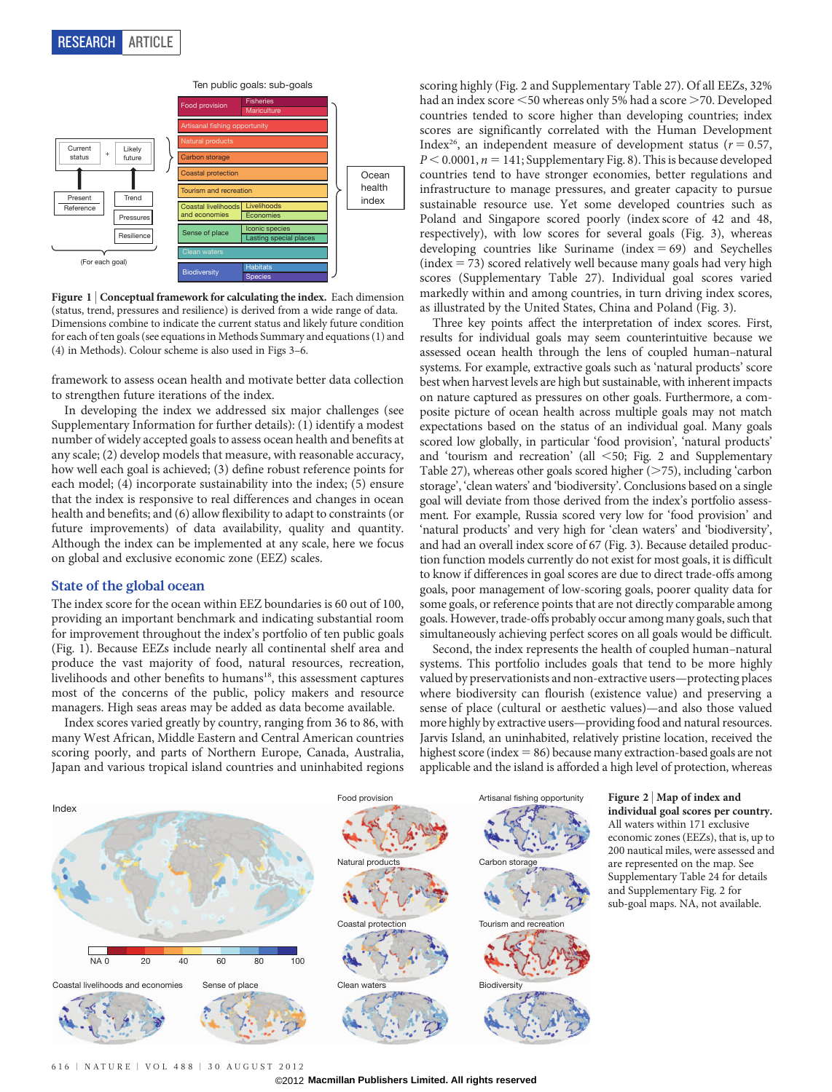

Figure 1 | Conceptual framework for calculating the index. Each dimension (status, trend, pressures and resilience) is derived from a wide range of data. Dimensions combine to indicate the current status and likely future condition for each of ten goals (see equations in Methods Summary and equations (1) and (4) in Methods). Colour scheme is also used in Figs 3–6.

framework to assess ocean health and motivate better data collection to strengthen future iterations of the index.

In developing the index we addressed six major challenges (see Supplementary Information for further details): (1) identify a modest number of widely accepted goals to assess ocean health and benefits at any scale; (2) develop models that measure, with reasonable accuracy, how well each goal is achieved; (3) define robust reference points for each model; (4) incorporate sustainability into the index; (5) ensure that the index is responsive to real differences and changes in ocean health and benefits; and (6) allow flexibility to adapt to constraints (or future improvements) of data availability, quality and quantity. Although the index can be implemented at any scale, here we focus on global and exclusive economic zone (EEZ) scales.

#### State of the global ocean

The index score for the ocean within EEZ boundaries is 60 out of 100, providing an important benchmark and indicating substantial room for improvement throughout the index's portfolio of ten public goals (Fig. 1). Because EEZs include nearly all continental shelf area and produce the vast majority of food, natural resources, recreation, livelihoods and other benefits to humans<sup>18</sup>, this assessment captures most of the concerns of the public, policy makers and resource managers. High seas areas may be added as data become available.

Index scores varied greatly by country, ranging from 36 to 86, with many West African, Middle Eastern and Central American countries scoring poorly, and parts of Northern Europe, Canada, Australia, Japan and various tropical island countries and uninhabited regions

scoring highly (Fig. 2 and Supplementary Table 27). Of all EEZs, 32% had an index score  $\leq$  50 whereas only 5% had a score  $\geq$  70. Developed countries tended to score higher than developing countries; index scores are significantly correlated with the Human Development Index<sup>26</sup>, an independent measure of development status ( $r = 0.57$ ,  $P < 0.0001$ ,  $n = 141$ ; Supplementary Fig. 8). This is because developed countries tend to have stronger economies, better regulations and infrastructure to manage pressures, and greater capacity to pursue sustainable resource use. Yet some developed countries such as Poland and Singapore scored poorly (index score of 42 and 48, respectively), with low scores for several goals (Fig. 3), whereas developing countries like Suriname (index  $= 69$ ) and Seychelles  $(index = 73)$  scored relatively well because many goals had very high scores (Supplementary Table 27). Individual goal scores varied markedly within and among countries, in turn driving index scores, as illustrated by the United States, China and Poland (Fig. 3).

Three key points affect the interpretation of index scores. First, results for individual goals may seem counterintuitive because we assessed ocean health through the lens of coupled human–natural systems. For example, extractive goals such as 'natural products' score best when harvest levels are high but sustainable, with inherent impacts on nature captured as pressures on other goals. Furthermore, a composite picture of ocean health across multiple goals may not match expectations based on the status of an individual goal. Many goals scored low globally, in particular 'food provision', 'natural products' and 'tourism and recreation' (all  $\leq$  50; Fig. 2 and Supplementary Table 27), whereas other goals scored higher  $(>\!\!75)$ , including 'carbon storage', 'clean waters' and 'biodiversity'. Conclusions based on a single goal will deviate from those derived from the index's portfolio assessment. For example, Russia scored very low for 'food provision' and 'natural products' and very high for 'clean waters' and 'biodiversity', and had an overall index score of 67 (Fig. 3). Because detailed production function models currently do not exist for most goals, it is difficult to know if differences in goal scores are due to direct trade-offs among goals, poor management of low-scoring goals, poorer quality data for some goals, or reference points that are not directly comparable among goals. However, trade-offs probably occur among many goals, such that simultaneously achieving perfect scores on all goals would be difficult.

Second, the index represents the health of coupled human–natural systems. This portfolio includes goals that tend to be more highly valued by preservationists and non-extractive users—protecting places where biodiversity can flourish (existence value) and preserving a sense of place (cultural or aesthetic values)—and also those valued more highly by extractive users—providing food and natural resources. Jarvis Island, an uninhabited, relatively pristine location, received the highest score (index  $= 86$ ) because many extraction-based goals are not applicable and the island is afforded a high level of protection, whereas



# Figure 2 <sup>|</sup> Map of index and

individual goal scores per country. All waters within 171 exclusive economic zones (EEZs), that is, up to 200 nautical miles, were assessed and are represented on the map. See Supplementary Table 24 for details and Supplementary Fig. 2 for sub-goal maps. NA, not available.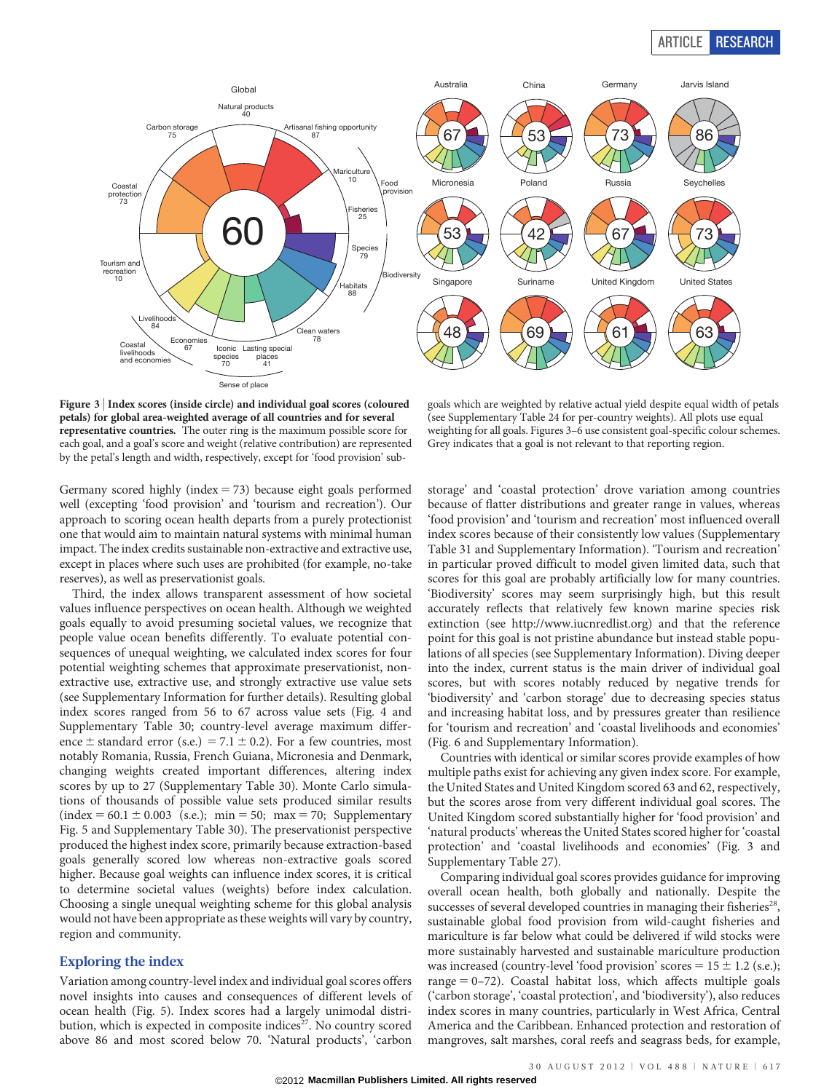## ARTICLE RESEARCH



Figure 3 <sup>|</sup> Index scores (inside circle) and individual goal scores (coloured petals) for global area-weighted average of all countries and for several representative countries. The outer ring is the maximum possible score for each goal, and a goal's score and weight (relative contribution) are represented by the petal's length and width, respectively, except for 'food provision' sub-

goals which are weighted by relative actual yield despite equal width of petals (see Supplementary Table 24 for per-country weights). All plots use equal weighting for all goals. Figures 3–6 use consistent goal-specific colour schemes. Grey indicates that a goal is not relevant to that reporting region.

Germany scored highly (index  $= 73$ ) because eight goals performed well (excepting 'food provision' and 'tourism and recreation'). Our approach to scoring ocean health departs from a purely protectionist one that would aim to maintain natural systems with minimal human impact. The index credits sustainable non-extractive and extractive use, except in places where such uses are prohibited (for example, no-take reserves), as well as preservationist goals.

Third, the index allows transparent assessment of how societal values influence perspectives on ocean health. Although we weighted goals equally to avoid presuming societal values, we recognize that people value ocean benefits differently. To evaluate potential consequences of unequal weighting, we calculated index scores for four potential weighting schemes that approximate preservationist, nonextractive use, extractive use, and strongly extractive use value sets (see Supplementary Information for further details). Resulting global index scores ranged from 56 to 67 across value sets (Fig. 4 and Supplementary Table 30; country-level average maximum difference  $\pm$  standard error (s.e.) = 7.1  $\pm$  0.2). For a few countries, most notably Romania, Russia, French Guiana, Micronesia and Denmark, changing weights created important differences, altering index scores by up to 27 (Supplementary Table 30). Monte Carlo simulations of thousands of possible value sets produced similar results  $(index = 60.1 \pm 0.003$  (s.e.); min = 50; max = 70; Supplementary Fig. 5 and Supplementary Table 30). The preservationist perspective produced the highest index score, primarily because extraction-based goals generally scored low whereas non-extractive goals scored higher. Because goal weights can influence index scores, it is critical to determine societal values (weights) before index calculation. Choosing a single unequal weighting scheme for this global analysis would not have been appropriate as these weights will vary by country, region and community.

## Exploring the index

Variation among country-level index and individual goal scores offers novel insights into causes and consequences of different levels of ocean health (Fig. 5). Index scores had a largely unimodal distribution, which is expected in composite indices<sup>27</sup>. No country scored above 86 and most scored below 70. 'Natural products', 'carbon

storage' and 'coastal protection' drove variation among countries because of flatter distributions and greater range in values, whereas 'food provision' and 'tourism and recreation' most influenced overall index scores because of their consistently low values (Supplementary Table 31 and Supplementary Information). 'Tourism and recreation' in particular proved difficult to model given limited data, such that scores for this goal are probably artificially low for many countries. 'Biodiversity' scores may seem surprisingly high, but this result accurately reflects that relatively few known marine species risk extinction (see [http://www.iucnredlist.org\)](http://www.iucnredlist.org) and that the reference point for this goal is not pristine abundance but instead stable populations of all species (see Supplementary Information). Diving deeper into the index, current status is the main driver of individual goal scores, but with scores notably reduced by negative trends for 'biodiversity' and 'carbon storage' due to decreasing species status and increasing habitat loss, and by pressures greater than resilience for 'tourism and recreation' and 'coastal livelihoods and economies' (Fig. 6 and Supplementary Information).

Countries with identical or similar scores provide examples of how multiple paths exist for achieving any given index score. For example, the United States and United Kingdom scored 63 and 62, respectively, but the scores arose from very different individual goal scores. The United Kingdom scored substantially higher for 'food provision' and 'natural products' whereas the United States scored higher for 'coastal protection' and 'coastal livelihoods and economies' (Fig. 3 and Supplementary Table 27).

Comparing individual goal scores provides guidance for improving overall ocean health, both globally and nationally. Despite the successes of several developed countries in managing their fisheries<sup>28</sup>, sustainable global food provision from wild-caught fisheries and mariculture is far below what could be delivered if wild stocks were more sustainably harvested and sustainable mariculture production was increased (country-level 'food provision' scores =  $15 \pm 1.2$  (s.e.); range  $= 0-72$ ). Coastal habitat loss, which affects multiple goals ('carbon storage', 'coastal protection', and 'biodiversity'), also reduces index scores in many countries, particularly in West Africa, Central America and the Caribbean. Enhanced protection and restoration of mangroves, salt marshes, coral reefs and seagrass beds, for example,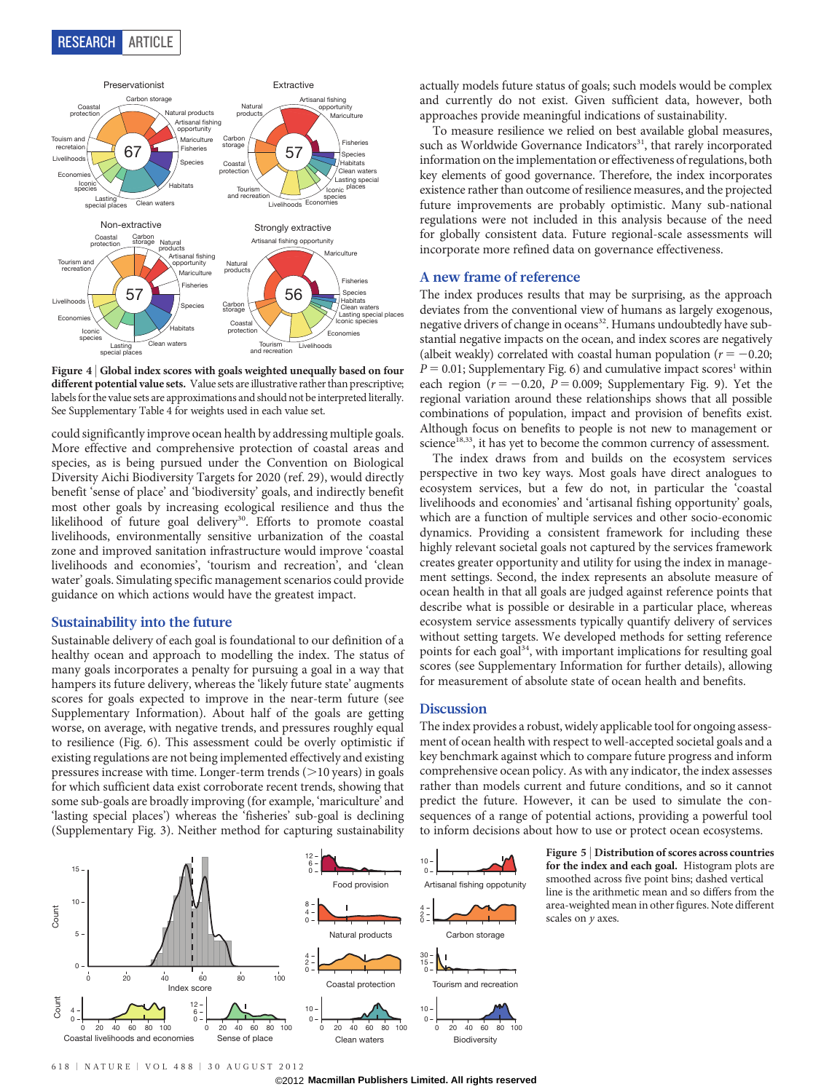RESEARCH ARTICLE



Figure 4 | Global index scores with goals weighted unequally based on four different potential value sets. Value sets are illustrative rather than prescriptive; labels for the value sets are approximations and should not be interpreted literally. See Supplementary Table 4 for weights used in each value set.

could significantly improve ocean health by addressing multiple goals. More effective and comprehensive protection of coastal areas and species, as is being pursued under the Convention on Biological Diversity Aichi Biodiversity Targets for 2020 (ref. 29), would directly benefit 'sense of place' and 'biodiversity' goals, and indirectly benefit most other goals by increasing ecological resilience and thus the likelihood of future goal delivery<sup>30</sup>. Efforts to promote coastal livelihoods, environmentally sensitive urbanization of the coastal zone and improved sanitation infrastructure would improve 'coastal livelihoods and economies', 'tourism and recreation', and 'clean water' goals. Simulating specific management scenarios could provide guidance on which actions would have the greatest impact.

#### Sustainability into the future

Sustainable delivery of each goal is foundational to our definition of a healthy ocean and approach to modelling the index. The status of many goals incorporates a penalty for pursuing a goal in a way that hampers its future delivery, whereas the 'likely future state' augments scores for goals expected to improve in the near-term future (see Supplementary Information). About half of the goals are getting worse, on average, with negative trends, and pressures roughly equal to resilience (Fig. 6). This assessment could be overly optimistic if existing regulations are not being implemented effectively and existing pressures increase with time. Longer-term trends  $(>10$  years) in goals for which sufficient data exist corroborate recent trends, showing that some sub-goals are broadly improving (for example, 'mariculture' and 'lasting special places') whereas the 'fisheries' sub-goal is declining (Supplementary Fig. 3). Neither method for capturing sustainability

actually models future status of goals; such models would be complex and currently do not exist. Given sufficient data, however, both approaches provide meaningful indications of sustainability.

To measure resilience we relied on best available global measures, such as Worldwide Governance Indicators<sup>31</sup>, that rarely incorporated information on the implementation or effectiveness of regulations, both key elements of good governance. Therefore, the index incorporates existence rather than outcome of resilience measures, and the projected future improvements are probably optimistic. Many sub-national regulations were not included in this analysis because of the need for globally consistent data. Future regional-scale assessments will incorporate more refined data on governance effectiveness.

### A new frame of reference

The index produces results that may be surprising, as the approach deviates from the conventional view of humans as largely exogenous, negative drivers of change in oceans<sup>32</sup>. Humans undoubtedly have substantial negative impacts on the ocean, and index scores are negatively (albeit weakly) correlated with coastal human population ( $r = -0.20$ ;  $P = 0.01$ ; Supplementary Fig. 6) and cumulative impact scores<sup>1</sup> within each region ( $r = -0.20$ ,  $P = 0.009$ ; Supplementary Fig. 9). Yet the regional variation around these relationships shows that all possible combinations of population, impact and provision of benefits exist. Although focus on benefits to people is not new to management or science<sup>18,33</sup>, it has yet to become the common currency of assessment.

The index draws from and builds on the ecosystem services perspective in two key ways. Most goals have direct analogues to ecosystem services, but a few do not, in particular the 'coastal livelihoods and economies' and 'artisanal fishing opportunity' goals, which are a function of multiple services and other socio-economic dynamics. Providing a consistent framework for including these highly relevant societal goals not captured by the services framework creates greater opportunity and utility for using the index in management settings. Second, the index represents an absolute measure of ocean health in that all goals are judged against reference points that describe what is possible or desirable in a particular place, whereas ecosystem service assessments typically quantify delivery of services without setting targets. We developed methods for setting reference points for each goal<sup>34</sup>, with important implications for resulting goal scores (see Supplementary Information for further details), allowing for measurement of absolute state of ocean health and benefits.

### **Discussion**

The index provides a robust, widely applicable tool for ongoing assessment of ocean health with respect to well-accepted societal goals and a key benchmark against which to compare future progress and inform comprehensive ocean policy. As with any indicator, the index assesses rather than models current and future conditions, and so it cannot predict the future. However, it can be used to simulate the consequences of a range of potential actions, providing a powerful tool to inform decisions about how to use or protect ocean ecosystems.

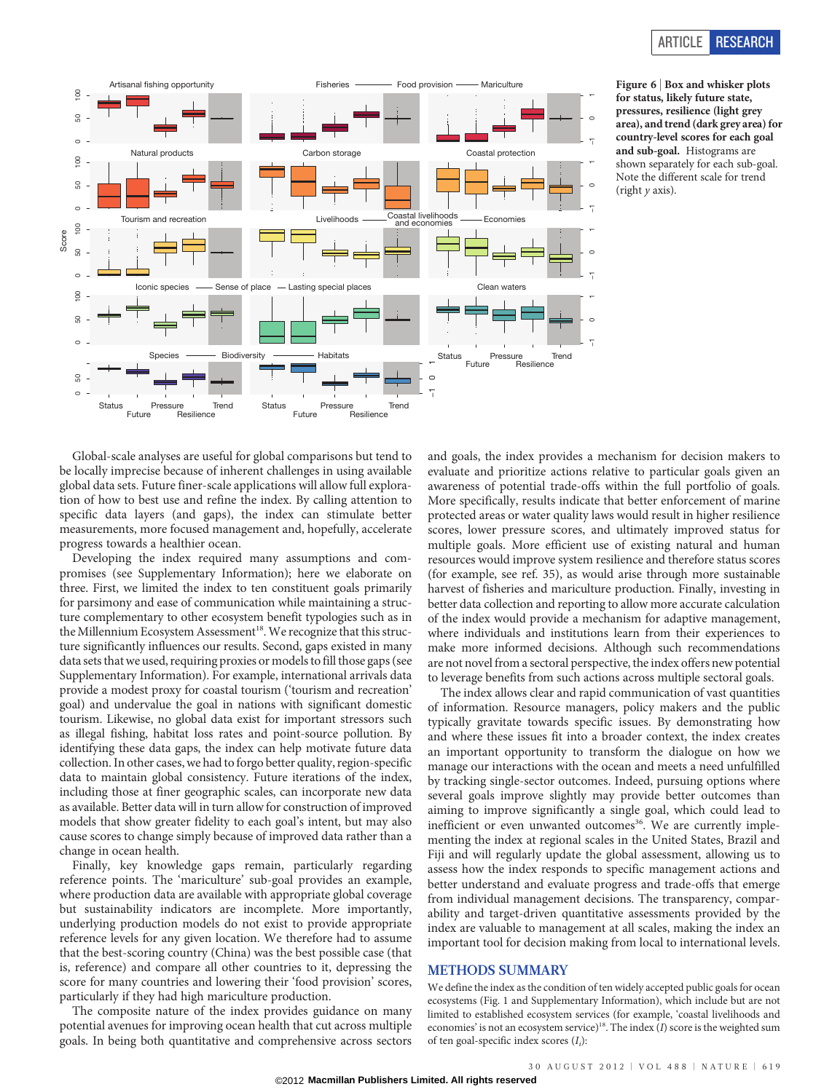

Figure 6 <sup>|</sup> Box and whisker plots for status, likely future state, pressures, resilience (light grey area), and trend (dark grey area) for country-level scores for each goal and sub-goal. Histograms are shown separately for each sub-goal. Note the different scale for trend (right  $\nu$  axis).

Global-scale analyses are useful for global comparisons but tend to be locally imprecise because of inherent challenges in using available global data sets. Future finer-scale applications will allow full exploration of how to best use and refine the index. By calling attention to specific data layers (and gaps), the index can stimulate better measurements, more focused management and, hopefully, accelerate progress towards a healthier ocean.

Developing the index required many assumptions and compromises (see Supplementary Information); here we elaborate on three. First, we limited the index to ten constituent goals primarily for parsimony and ease of communication while maintaining a structure complementary to other ecosystem benefit typologies such as in the Millennium Ecosystem Assessment<sup>18</sup>. We recognize that this structure significantly influences our results. Second, gaps existed in many data sets that we used, requiring proxies or models to fill those gaps (see Supplementary Information). For example, international arrivals data provide a modest proxy for coastal tourism ('tourism and recreation' goal) and undervalue the goal in nations with significant domestic tourism. Likewise, no global data exist for important stressors such as illegal fishing, habitat loss rates and point-source pollution. By identifying these data gaps, the index can help motivate future data collection. In other cases, we had to forgo better quality, region-specific data to maintain global consistency. Future iterations of the index, including those at finer geographic scales, can incorporate new data as available. Better data will in turn allow for construction of improved models that show greater fidelity to each goal's intent, but may also cause scores to change simply because of improved data rather than a change in ocean health.

Finally, key knowledge gaps remain, particularly regarding reference points. The 'mariculture' sub-goal provides an example, where production data are available with appropriate global coverage but sustainability indicators are incomplete. More importantly, underlying production models do not exist to provide appropriate reference levels for any given location. We therefore had to assume that the best-scoring country (China) was the best possible case (that is, reference) and compare all other countries to it, depressing the score for many countries and lowering their 'food provision' scores, particularly if they had high mariculture production.

The composite nature of the index provides guidance on many potential avenues for improving ocean health that cut across multiple goals. In being both quantitative and comprehensive across sectors

and goals, the index provides a mechanism for decision makers to evaluate and prioritize actions relative to particular goals given an awareness of potential trade-offs within the full portfolio of goals. More specifically, results indicate that better enforcement of marine protected areas or water quality laws would result in higher resilience scores, lower pressure scores, and ultimately improved status for multiple goals. More efficient use of existing natural and human resources would improve system resilience and therefore status scores (for example, see ref. 35), as would arise through more sustainable harvest of fisheries and mariculture production. Finally, investing in better data collection and reporting to allow more accurate calculation of the index would provide a mechanism for adaptive management, where individuals and institutions learn from their experiences to make more informed decisions. Although such recommendations are not novel from a sectoral perspective, the index offers new potential to leverage benefits from such actions across multiple sectoral goals.

The index allows clear and rapid communication of vast quantities of information. Resource managers, policy makers and the public typically gravitate towards specific issues. By demonstrating how and where these issues fit into a broader context, the index creates an important opportunity to transform the dialogue on how we manage our interactions with the ocean and meets a need unfulfilled by tracking single-sector outcomes. Indeed, pursuing options where several goals improve slightly may provide better outcomes than aiming to improve significantly a single goal, which could lead to inefficient or even unwanted outcomes<sup>36</sup>. We are currently implementing the index at regional scales in the United States, Brazil and Fiji and will regularly update the global assessment, allowing us to assess how the index responds to specific management actions and better understand and evaluate progress and trade-offs that emerge from individual management decisions. The transparency, comparability and target-driven quantitative assessments provided by the index are valuable to management at all scales, making the index an important tool for decision making from local to international levels.

#### METHODS SUMMARY

We define the index as the condition of ten widely accepted public goals for ocean ecosystems (Fig. 1 and Supplementary Information), which include but are not limited to established ecosystem services (for example, 'coastal livelihoods and economies' is not an ecosystem service)<sup>18</sup>. The index  $(I)$  score is the weighted sum of ten goal-specific index scores  $(I_i)$ :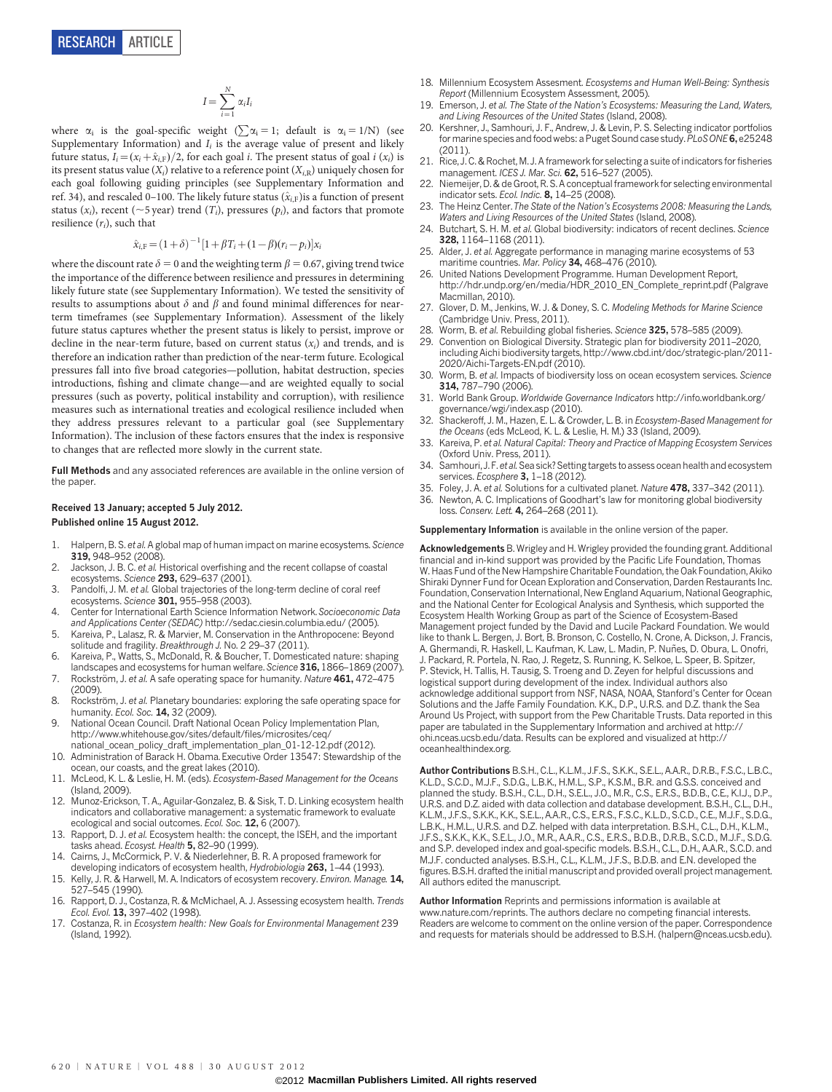$$
I = \sum_{i=1}^{N} \alpha_i I_i
$$

where  $\alpha_i$  is the goal-specific weight ( $\sum \alpha_i = 1$ ; default is  $\alpha_i = 1/N$ ) (see Supplementary Information) and  $I_i$  is the average value of present and likely future status,  $I_i=(x_i+\hat{x}_{i,F})/2$ , for each goal i. The present status of goal i  $(x_i)$  is its present status value  $(X_i)$  relative to a reference point  $(X_i)$  uniquely chosen for each goal following guiding principles (see Supplementary Information and ref. 34), and rescaled 0–100. The likely future status  $(\hat{x}_{i,F})$ is a function of present status ( $x_i$ ), recent ( $\sim$ 5 year) trend ( $T_i$ ), pressures ( $p_i$ ), and factors that promote resilience  $(r_i)$ , such that

$$
\hat{x}_{i,\mathrm{F}} = (1+\delta)^{-1} [1 + \beta T_i + (1-\beta)(r_i - p_i)]x_i
$$

where the discount rate  $\delta = 0$  and the weighting term  $\beta = 0.67$ , giving trend twice the importance of the difference between resilience and pressures in determining likely future state (see Supplementary Information). We tested the sensitivity of results to assumptions about  $\delta$  and  $\beta$  and found minimal differences for nearterm timeframes (see Supplementary Information). Assessment of the likely future status captures whether the present status is likely to persist, improve or decline in the near-term future, based on current status  $(x_i)$  and trends, and is therefore an indication rather than prediction of the near-term future. Ecological pressures fall into five broad categories—pollution, habitat destruction, species introductions, fishing and climate change—and are weighted equally to social pressures (such as poverty, political instability and corruption), with resilience measures such as international treaties and ecological resilience included when they address pressures relevant to a particular goal (see Supplementary Information). The inclusion of these factors ensures that the index is responsive to changes that are reflected more slowly in the current state.

Full Methods and any associated references are available in the [online version of](www.nature.com/doifinder/10.1038/nature11397) [the paper](www.nature.com/doifinder/10.1038/nature11397).

#### Received 13 January; accepted 5 July 2012. Published online 15 August 2012.

- 1. Halpern, B. S. et al. A global map of human impact on marine ecosystems. Science 319, 948–952 (2008).
- 2. Jackson, J. B. C. et al. Historical overfishing and the recent collapse of coastal ecosystems. Science 293, 629–637 (2001).
- 3. Pandolfi, J. M. et al. Global trajectories of the long-term decline of coral reef ecosystems. Science 301, 955–958 (2003).
- 4. Center for International Earth Science Information Network.Socioeconomic Data and Applications Center (SEDAC) [http://sedac.ciesin.columbia.edu/](http://sedac.ciesin.columbia.edu) (2005).
- 5. Kareiva, P., Lalasz, R. & Marvier, M. Conservation in the Anthropocene: Beyond solitude and fragility. Breakthrough J. No. 2 29–37 (2011).
- 6. Kareiva, P., Watts, S., McDonald, R. & Boucher, T. Domesticated nature: shaping landscapes and ecosystems for human welfare. Science 316, 1866–1869 (2007).
- 7. Rockström, J. et al. A safe operating space for humanity. Nature 461, 472–475 (2009).
- 8. Rockström, J. et al. Planetary boundaries: exploring the safe operating space for humanity. Ecol. Soc. **14**, 32 (2009).
- 9. National Ocean Council. Draft National Ocean Policy Implementation Plan, [http://www.whitehouse.gov/sites/default/files/microsites/ceq/](http://www.whitehouse.gov/sites/default/files/microsites/ceq/national_ocean_policy_draft_implementation_plan_01-12-12.pdf) [national\\_ocean\\_policy\\_draft\\_implementation\\_plan\\_01-12-12.pdf](http://www.whitehouse.gov/sites/default/files/microsites/ceq/national_ocean_policy_draft_implementation_plan_01-12-12.pdf) (2012).
- 10. Administration of Barack H. Obama. Executive Order 13547: Stewardship of the ocean, our coasts, and the great lakes (2010).
- 11. McLeod, K. L. & Leslie, H. M. (eds). Ecosystem-Based Management for the Oceans (Island, 2009).
- 12. Munoz-Erickson, T. A., Aguilar-Gonzalez, B. & Sisk, T. D. Linking ecosystem health indicators and collaborative management: a systematic framework to evaluate ecological and social outcomes. Ecol. Soc. 12, 6 (2007)
- 13. Rapport, D. J. et al. Ecosystem health: the concept, the ISEH, and the important tasks ahead. *Ecosyst. Health* **5,** 82–90 (1999)
- 14. Cairns, J., McCormick, P. V. & Niederlehner, B. R. [A proposed framework for](http://www.springerlink.com/content/j1vgg13202p40k00) [developing indicators of ecosystem health,](http://www.springerlink.com/content/j1vgg13202p40k00) Hydrobiologia 263, 1-44 (1993)
- 15. Kelly, J. R. & Harwell, M. A. Indicators of ecosystem recovery. Environ. Manage. 14, 527–545 (1990).
- 16. Rapport, D. J., Costanza, R. & McMichael, A. J. Assessing ecosystem health. Trends Ecol. Evol. 13, 397-402 (1998).
- 17. Costanza, R. in Ecosystem health: New Goals for Environmental Management 239 (Island, 1992).
- 18. Millennium Ecosystem Assesment. Ecosystems and Human Well-Being: Synthesis Report (Millennium Ecosystem Assessment, 2005).
- 19. Emerson, J. et al. The State of the Nation's Ecosystems: Measuring the Land, Waters, and Living Resources of the United States (Island, 2008).
- 20. Kershner, J., Samhouri, J. F., Andrew, J. & Levin, P. S. Selecting indicator portfolios for marine species and food webs: a Puget Sound case study. PLoS ONE 6, e25248  $(2011)$
- 21. Rice, J. C. & Rochet, M. J. A framework for selecting a suite of indicators for fisheries management. ICES J. Mar. Sci. 62, 516–527 (2005).
- 22. Niemeijer, D. & de Groot, R. S. A conceptual framework for selecting environmental indicator sets. Ecol. Indic. 8, 14–25 (2008).
- 23. The Heinz Center.The State of the Nation's Ecosystems 2008: Measuring the Lands, Waters and Living Resources of the United States (Island, 2008).
- 24. Butchart, S. H. M. et al. Global biodiversity: indicators of recent declines. Science 328, 1164–1168 (2011).
- 25. Alder, J. et al. Aggregate performance in managing marine ecosystems of 53 maritime countries. Mar. Policy 34, 468-476 (2010).
- 26. United Nations Development Programme. Human Development Report, [http://hdr.undp.org/en/media/HDR\\_2010\\_EN\\_Complete\\_reprint.pdf](http://hdr.undp.org/en/media/HDR_2010_EN_Complete_reprint.pdf) (Palgrave Macmillan, 2010).
- 27. Glover, D. M., Jenkins, W. J. & Doney, S. C. Modeling Methods for Marine Science (Cambridge Univ. Press, 2011).
- 28. Worm, B. et al. Rebuilding global fisheries. Science 325, 578–585 (2009).
- 29. Convention on Biological Diversity. Strategic plan for biodiversity 2011–2020, including Aichi biodiversity targets, [http://www.cbd.int/doc/strategic-plan/2011-](http://www.cbd.int/doc/strategic-plan/2011-2020/Aichi-Targets-EN.pdf) [2020/Aichi-Targets-EN.pdf](http://www.cbd.int/doc/strategic-plan/2011-2020/Aichi-Targets-EN.pdf) (2010).
- 30. Worm, B. et al. Impacts of biodiversity loss on ocean ecosystem services. Science 314, 787–790 (2006).
- 31. World Bank Group. Worldwide Governance Indicators [http://info.worldbank.org/](http://info.worldbank.org/governance/wgi/index.asp) [governance/wgi/index.asp](http://info.worldbank.org/governance/wgi/index.asp) (2010).
- 32. Shackeroff, J. M., Hazen, E. L. & Crowder, L. B. in Ecosystem-Based Management for the Oceans (eds McLeod, K. L. & Leslie, H. M.) 33 (Island, 2009).
- 33. Kareiva, P. et al. Natural Capital: Theory and Practice of Mapping Ecosystem Services (Oxford Univ. Press, 2011).
- 34. Samhouri, J. F. et al. Sea sick? Setting targets to assess ocean health and ecosystem services. Ecosphere 3, 1-18 (2012).
- 35. Foley, J. A. et al. Solutions for a cultivated planet. Nature 478, 337-342 (2011).
- 36. Newton, A. C. Implications of Goodhart's law for monitoring global biodiversity loss. Conserv. Lett. 4, 264-268 (2011).

Supplementary Information is available in the [online version of the paper.](www.nature.com/doifinder/10.1038/nature11397)

Acknowledgements B. Wrigley and H. Wrigley provided the founding grant. Additional financial and in-kind support was provided by the Pacific Life Foundation, Thomas W. Haas Fund of the New Hampshire Charitable Foundation, the Oak Foundation, Akiko Shiraki Dynner Fund for Ocean Exploration and Conservation, Darden Restaurants Inc. Foundation, Conservation International, New England Aquarium, National Geographic, and the National Center for Ecological Analysis and Synthesis, which supported the Ecosystem Health Working Group as part of the Science of Ecosystem-Based Management project funded by the David and Lucile Packard Foundation. We would like to thank L. Bergen, J. Bort, B. Bronson, C. Costello, N. Crone, A. Dickson, J. Francis, A. Ghermandi, R. Haskell, L. Kaufman, K. Law, L. Madin, P. Nun˜es, D. Obura, L. Onofri, J. Packard, R. Portela, N. Rao, J. Regetz, S. Running, K. Selkoe, L. Speer, B. Spitzer, P. Stevick, H. Tallis, H. Tausig, S. Troeng and D. Zeyen for helpful discussions and logistical support during development of the index. Individual authors also acknowledge additional support from NSF, NASA, NOAA, Stanford's Center for Ocean Solutions and the Jaffe Family Foundation. K.K., D.P., U.R.S. and D.Z. thank the Sea Around Us Project, with support from the Pew Charitable Trusts. Data reported in this paper are tabulated in the Supplementary Information and archived at [http://](http://ohi.nceas.ucsb.edu/data) [ohi.nceas.ucsb.edu/data](http://ohi.nceas.ucsb.edu/data). Results can be explored and visualized at [http://](http://oceanhealthindex.org) [oceanhealthindex.org](http://oceanhealthindex.org).

Author Contributions B.S.H., C.L., K.L.M., J.F.S., S.K.K., S.E.L., A.A.R., D.R.B., F.S.C., L.B.C., K.L.D., S.C.D., M.J.F., S.D.G., L.B.K., H.M.L., S.P., K.S.M., B.R. and G.S.S. conceived and planned the study. B.S.H., C.L., D.H., S.E.L., J.O., M.R., C.S., E.R.S., B.D.B., C.E., K.I.J., D.P. U.R.S. and D.Z. aided with data collection and database development. B.S.H., C.L., D.H., K.L.M., J.F.S., S.K.K., K.K., S.E.L., A.A.R., C.S., E.R.S., F.S.C., K.L.D., S.C.D., C.E., M.J.F., S.D.G., L.B.K., H.M.L., U.R.S. and D.Z. helped with data interpretation. B.S.H., C.L., D.H., K.L.M., J.F.S., S.K.K., K.K., S.E.L., J.O., M.R., A.A.R., C.S., E.R.S., B.D.B., D.R.B., S.C.D., M.J.F., S.D.G. and S.P. developed index and goal-specific models. B.S.H., C.L., D.H., A.A.R., S.C.D. and M.J.F. conducted analyses. B.S.H., C.L., K.L.M., J.F.S., B.D.B. and E.N. developed the figures. B.S.H. drafted the initial manuscript and provided overall project management. All authors edited the manuscript.

Author Information Reprints and permissions information is available at <www.nature.com/reprints>. The authors declare no competing financial interests. Readers are welcome to comment on the [online version of the paper.](www.nature.com/doifinder/10.1038/nature11397) Correspondence and requests for materials should be addressed to B.S.H. [\(halpern@nceas.ucsb.edu\)](mailto:halpern@nceas.ucsb.edu).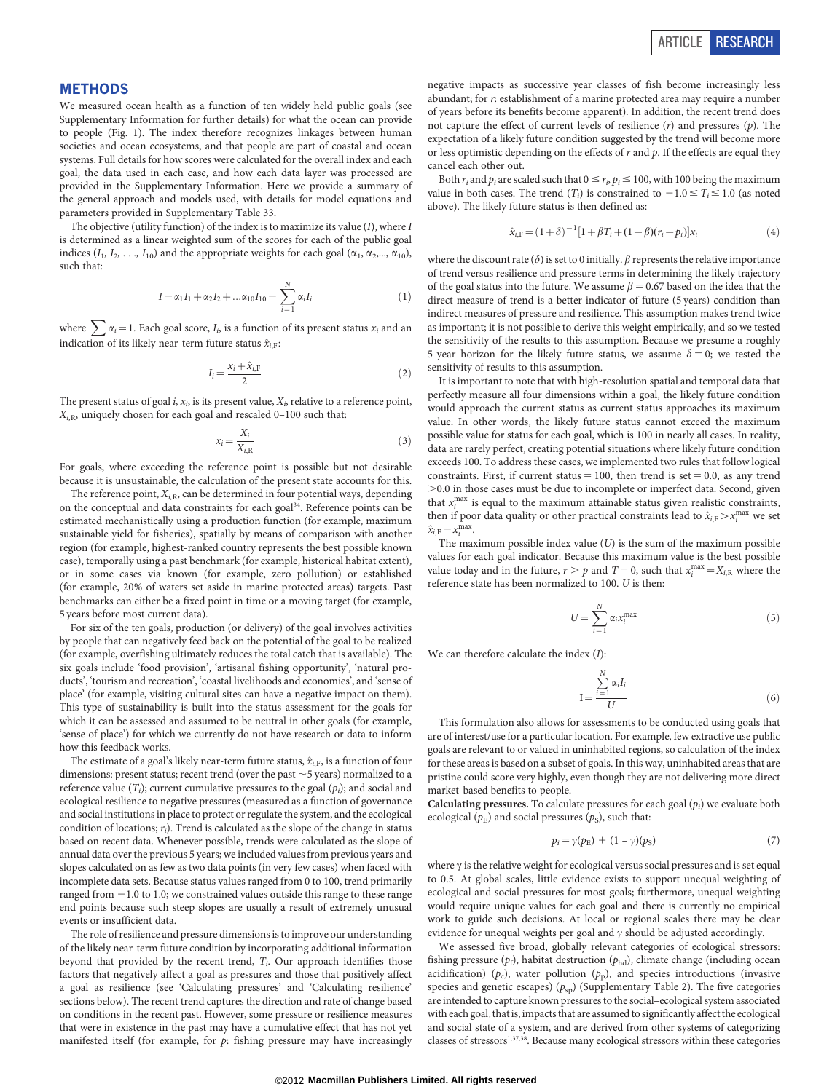#### METHODS

We measured ocean health as a function of ten widely held public goals (see Supplementary Information for further details) for what the ocean can provide to people (Fig. 1). The index therefore recognizes linkages between human societies and ocean ecosystems, and that people are part of coastal and ocean systems. Full details for how scores were calculated for the overall index and each goal, the data used in each case, and how each data layer was processed are provided in the Supplementary Information. Here we provide a summary of the general approach and models used, with details for model equations and parameters provided in Supplementary Table 33.

The objective (utility function) of the index is to maximize its value  $(I)$ , where  $I$ is determined as a linear weighted sum of the scores for each of the public goal indices ( $I_1, I_2, \ldots, I_{10}$ ) and the appropriate weights for each goal ( $\alpha_1, \alpha_2, \ldots, \alpha_{10}$ ), such that:

$$
I = \alpha_1 I_1 + \alpha_2 I_2 + \dots \alpha_{10} I_{10} = \sum_{i=1}^{N} \alpha_i I_i \tag{1}
$$

where  $\sum \alpha_i = 1$ . Each goal score,  $I_i$ , is a function of its present status  $x_i$  and an indication of its likely near-term future status  $\hat{x}_{i,F}$ :

$$
I_i = \frac{x_i + \hat{x}_{i,\mathrm{F}}}{2} \tag{2}
$$

The present status of goal i,  $x_i$ , is its present value,  $X_i$ , relative to a reference point,  $X_{i,R}$ , uniquely chosen for each goal and rescaled 0–100 such that:

$$
x_i = \frac{X_i}{X_{i,\text{R}}}
$$
\n<sup>(3)</sup>

For goals, where exceeding the reference point is possible but not desirable because it is unsustainable, the calculation of the present state accounts for this.

The reference point,  $X_{i,R}$ , can be determined in four potential ways, depending on the conceptual and data constraints for each goal<sup>34</sup>. Reference points can be estimated mechanistically using a production function (for example, maximum sustainable yield for fisheries), spatially by means of comparison with another region (for example, highest-ranked country represents the best possible known case), temporally using a past benchmark (for example, historical habitat extent), or in some cases via known (for example, zero pollution) or established (for example, 20% of waters set aside in marine protected areas) targets. Past benchmarks can either be a fixed point in time or a moving target (for example, 5 years before most current data).

For six of the ten goals, production (or delivery) of the goal involves activities by people that can negatively feed back on the potential of the goal to be realized (for example, overfishing ultimately reduces the total catch that is available). The six goals include 'food provision', 'artisanal fishing opportunity', 'natural products', 'tourism and recreation', 'coastal livelihoods and economies', and 'sense of place' (for example, visiting cultural sites can have a negative impact on them). This type of sustainability is built into the status assessment for the goals for which it can be assessed and assumed to be neutral in other goals (for example, 'sense of place') for which we currently do not have research or data to inform how this feedback works.

The estimate of a goal's likely near-term future status,  $\hat{x}_{i,F}$ , is a function of four dimensions: present status; recent trend (over the past  $\sim$  5 years) normalized to a reference value  $(T_i)$ ; current cumulative pressures to the goal  $(p_i)$ ; and social and ecological resilience to negative pressures (measured as a function of governance and social institutions in place to protect or regulate the system, and the ecological condition of locations;  $r_i$ ). Trend is calculated as the slope of the change in status based on recent data. Whenever possible, trends were calculated as the slope of annual data over the previous 5 years; we included values from previous years and slopes calculated on as few as two data points (in very few cases) when faced with incomplete data sets. Because status values ranged from 0 to 100, trend primarily ranged from  $-1.0$  to 1.0; we constrained values outside this range to these range end points because such steep slopes are usually a result of extremely unusual events or insufficient data.

The role of resilience and pressure dimensions is to improve our understanding of the likely near-term future condition by incorporating additional information beyond that provided by the recent trend,  $T_i$ . Our approach identifies those factors that negatively affect a goal as pressures and those that positively affect a goal as resilience (see 'Calculating pressures' and 'Calculating resilience' sections below). The recent trend captures the direction and rate of change based on conditions in the recent past. However, some pressure or resilience measures that were in existence in the past may have a cumulative effect that has not yet manifested itself (for example, for  $p$ : fishing pressure may have increasingly

negative impacts as successive year classes of fish become increasingly less abundant; for r: establishment of a marine protected area may require a number of years before its benefits become apparent). In addition, the recent trend does not capture the effect of current levels of resilience  $(r)$  and pressures  $(p)$ . The expectation of a likely future condition suggested by the trend will become more or less optimistic depending on the effects of  $r$  and  $p$ . If the effects are equal they cancel each other out.

Both  $r_i$  and  $p_i$  are scaled such that  $0 \le r_i$ ,  $p_i \le 100$ , with 100 being the maximum value in both cases. The trend  $(T_i)$  is constrained to  $-1.0 \le T_i \le 1.0$  (as noted above). The likely future status is then defined as:

$$
\hat{x}_{i,\mathrm{F}} = (1+\delta)^{-1} [1 + \beta T_i + (1-\beta)(r_i - p_i)] x_i \tag{4}
$$

where the discount rate ( $\delta$ ) is set to 0 initially.  $\beta$  represents the relative importance of trend versus resilience and pressure terms in determining the likely trajectory of the goal status into the future. We assume  $\beta = 0.67$  based on the idea that the direct measure of trend is a better indicator of future (5 years) condition than indirect measures of pressure and resilience. This assumption makes trend twice as important; it is not possible to derive this weight empirically, and so we tested the sensitivity of the results to this assumption. Because we presume a roughly 5-year horizon for the likely future status, we assume  $\delta = 0$ ; we tested the sensitivity of results to this assumption.

It is important to note that with high-resolution spatial and temporal data that perfectly measure all four dimensions within a goal, the likely future condition would approach the current status as current status approaches its maximum value. In other words, the likely future status cannot exceed the maximum possible value for status for each goal, which is 100 in nearly all cases. In reality, data are rarely perfect, creating potential situations where likely future condition exceeds 100. To address these cases, we implemented two rules that follow logical constraints. First, if current status  $= 100$ , then trend is set  $= 0.0$ , as any trend .0.0 in those cases must be due to incomplete or imperfect data. Second, given that  $x_i^{\text{max}}$  is equal to the maximum attainable status given realistic constraints, then if poor data quality or other practical constraints lead to  $\hat{x}_{i,F} > x_i^{\max}$  we set  $\hat{x}_{i,\mathrm{F}}=x_i^{\mathrm{max}}.$ 

The maximum possible index value  $(U)$  is the sum of the maximum possible values for each goal indicator. Because this maximum value is the best possible value today and in the future,  $r > p$  and  $T = 0$ , such that  $x_i^{\max} = X_{i,R}$  where the reference state has been normalized to 100. U is then:

$$
U = \sum_{i=1}^{N} \alpha_i x_i^{\text{max}} \tag{5}
$$

We can therefore calculate the index  $(I)$ :

$$
I = \frac{\sum_{i=1}^{N} \alpha_i I_i}{U}
$$
 (6)

This formulation also allows for assessments to be conducted using goals that are of interest/use for a particular location. For example, few extractive use public goals are relevant to or valued in uninhabited regions, so calculation of the index for these areas is based on a subset of goals. In this way, uninhabited areas that are pristine could score very highly, even though they are not delivering more direct market-based benefits to people.

**Calculating pressures.** To calculate pressures for each goal  $(p_i)$  we evaluate both ecological ( $p<sub>E</sub>$ ) and social pressures ( $p<sub>S</sub>$ ), such that:

$$
p_i = \gamma(p_E) + (1 - \gamma)(p_S) \tag{7}
$$

where  $\gamma$  is the relative weight for ecological versus social pressures and is set equal to 0.5. At global scales, little evidence exists to support unequal weighting of ecological and social pressures for most goals; furthermore, unequal weighting would require unique values for each goal and there is currently no empirical work to guide such decisions. At local or regional scales there may be clear evidence for unequal weights per goal and  $\gamma$  should be adjusted accordingly.

We assessed five broad, globally relevant categories of ecological stressors: fishing pressure ( $p_f$ ), habitat destruction ( $p_{hd}$ ), climate change (including ocean acidification) ( $p_c$ ), water pollution ( $p_p$ ), and species introductions (invasive species and genetic escapes) ( $p_{sp}$ ) (Supplementary Table 2). The five categories are intended to capture known pressures to the social–ecological system associated with each goal, thatis, impacts that are assumed to significantly affect the ecological and social state of a system, and are derived from other systems of categorizing classes of stressors<sup>1,37,38</sup>. Because many ecological stressors within these categories